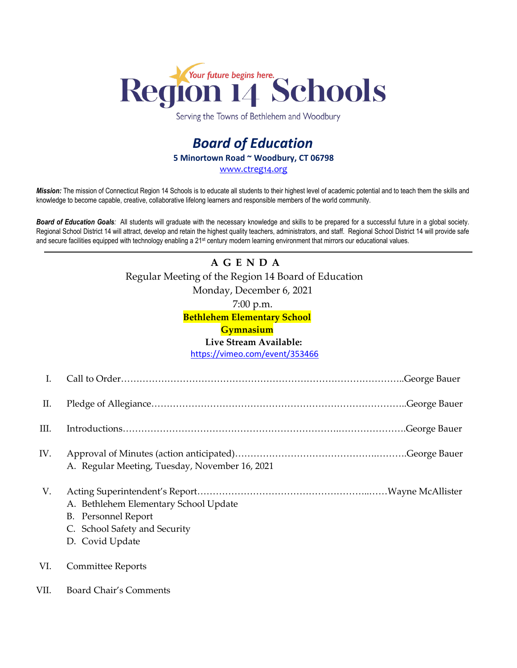

Serving the Towns of Bethlehem and Woodbury

## *Board of Education* **5 Minortown Road ~ Woodbury, CT 06798** [www.ctreg14.org](http://www.ctreg14.org/)

*Mission:* The mission of Connecticut Region 14 Schools is to educate all students to their highest level of academic potential and to teach them the skills and knowledge to become capable, creative, collaborative lifelong learners and responsible members of the world community.

*Board of Education Goals:* All students will graduate with the necessary knowledge and skills to be prepared for a successful future in a global society. Regional School District 14 will attract, develop and retain the highest quality teachers, administrators, and staff. Regional School District 14 will provide safe and secure facilities equipped with technology enabling a 21<sup>st</sup> century modern learning environment that mirrors our educational values.

# **A G E N D A** Regular Meeting of the Region 14 Board of Education Monday, December 6, 2021 7:00 p.m.

**Bethlehem Elementary School**

### **Gymnasium**

#### **Live Stream Available:**

<https://vimeo.com/event/353466>

| I.   |                                                                                                                         |  |
|------|-------------------------------------------------------------------------------------------------------------------------|--|
| П.   |                                                                                                                         |  |
| III. |                                                                                                                         |  |
| IV.  | A. Regular Meeting, Tuesday, November 16, 2021                                                                          |  |
| V.   | A. Bethlehem Elementary School Update<br><b>B.</b> Personnel Report<br>C. School Safety and Security<br>D. Covid Update |  |
| VI.  | <b>Committee Reports</b>                                                                                                |  |
| VII. | <b>Board Chair's Comments</b>                                                                                           |  |